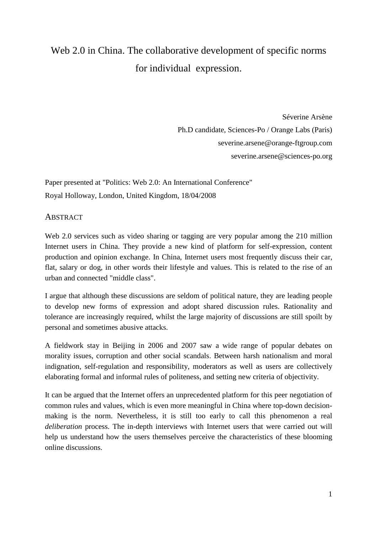# Web 2.0 in China. The collaborative development of specific norms for individual expression.

 Séverine Arsène Ph.D candidate, Sciences-Po / Orange Labs (Paris) severine.arsene@orange-ftgroup.com severine.arsene@sciences-po.org

Paper presented at "Politics: Web 2.0: An International Conference" Royal Holloway, London, United Kingdom, 18/04/2008

# **ABSTRACT**

Web 2.0 services such as video sharing or tagging are very popular among the 210 million Internet users in China. They provide a new kind of platform for self-expression, content production and opinion exchange. In China, Internet users most frequently discuss their car, flat, salary or dog, in other words their lifestyle and values. This is related to the rise of an urban and connected "middle class".

I argue that although these discussions are seldom of political nature, they are leading people to develop new forms of expression and adopt shared discussion rules. Rationality and tolerance are increasingly required, whilst the large majority of discussions are still spoilt by personal and sometimes abusive attacks.

A fieldwork stay in Beijing in 2006 and 2007 saw a wide range of popular debates on morality issues, corruption and other social scandals. Between harsh nationalism and moral indignation, self-regulation and responsibility, moderators as well as users are collectively elaborating formal and informal rules of politeness, and setting new criteria of objectivity.

It can be argued that the Internet offers an unprecedented platform for this peer negotiation of common rules and values, which is even more meaningful in China where top-down decisionmaking is the norm. Nevertheless, it is still too early to call this phenomenon a real *deliberation* process. The in-depth interviews with Internet users that were carried out will help us understand how the users themselves perceive the characteristics of these blooming online discussions.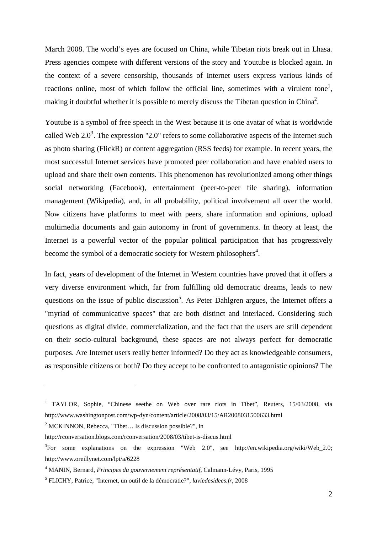March 2008. The world's eyes are focused on China, while Tibetan riots break out in Lhasa. Press agencies compete with different versions of the story and Youtube is blocked again. In the context of a severe censorship, thousands of Internet users express various kinds of reactions online, most of which follow the official line, sometimes with a virulent tone<sup>1</sup>, making it doubtful whether it is possible to merely discuss the Tibetan question in China<sup>2</sup>.

Youtube is a symbol of free speech in the West because it is one avatar of what is worldwide called Web 2.0<sup>3</sup>. The expression "2.0" refers to some collaborative aspects of the Internet such as photo sharing (FlickR) or content aggregation (RSS feeds) for example. In recent years, the most successful Internet services have promoted peer collaboration and have enabled users to upload and share their own contents. This phenomenon has revolutionized among other things social networking (Facebook), entertainment (peer-to-peer file sharing), information management (Wikipedia), and, in all probability, political involvement all over the world. Now citizens have platforms to meet with peers, share information and opinions, upload multimedia documents and gain autonomy in front of governments. In theory at least, the Internet is a powerful vector of the popular political participation that has progressively become the symbol of a democratic society for Western philosophers<sup>4</sup>.

In fact, years of development of the Internet in Western countries have proved that it offers a very diverse environment which, far from fulfilling old democratic dreams, leads to new questions on the issue of public discussion<sup>5</sup>. As Peter Dahlgren argues, the Internet offers a "myriad of communicative spaces" that are both distinct and interlaced. Considering such questions as digital divide, commercialization, and the fact that the users are still dependent on their socio-cultural background, these spaces are not always perfect for democratic purposes. Are Internet users really better informed? Do they act as knowledgeable consumers, as responsible citizens or both? Do they accept to be confronted to antagonistic opinions? The

<sup>&</sup>lt;sup>1</sup> TAYLOR, Sophie, "Chinese seethe on Web over rare riots in Tibet", Reuters, 15/03/2008, via http://www.washingtonpost.com/wp-dyn/content/article/2008/03/15/AR2008031500633.html

<sup>&</sup>lt;sup>2</sup> MCKINNON, Rebecca, "Tibet... Is discussion possible?", in

http://rconversation.blogs.com/rconversation/2008/03/tibet-is-discus.html

<sup>&</sup>lt;sup>3</sup>For some explanations on the expression "Web 2.0", see http://en.wikipedia.org/wiki/Web\_2.0; http://www.oreillynet.com/lpt/a/6228

<sup>4</sup> MANIN, Bernard, *Principes du gouvernement représentatif*, Calmann-Lévy, Paris, 1995

<sup>5</sup> FLICHY, Patrice, "Internet, un outil de la démocratie?", *laviedesidees.fr*, 2008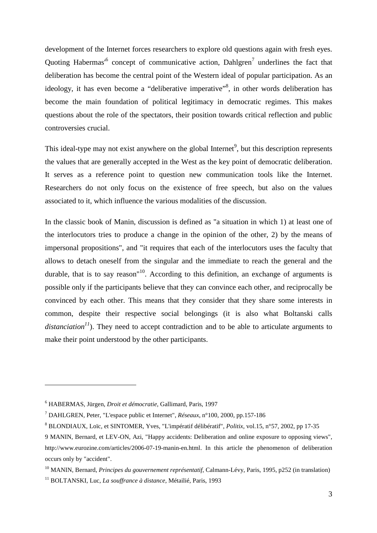development of the Internet forces researchers to explore old questions again with fresh eyes. Quoting Habermas<sup>16</sup> concept of communicative action, Dahlgren<sup>7</sup> underlines the fact that deliberation has become the central point of the Western ideal of popular participation. As an ideology, it has even become a "deliberative imperative"<sup>8</sup>, in other words deliberation has become the main foundation of political legitimacy in democratic regimes. This makes questions about the role of the spectators, their position towards critical reflection and public controversies crucial.

This ideal-type may not exist anywhere on the global Internet<sup>9</sup>, but this description represents the values that are generally accepted in the West as the key point of democratic deliberation. It serves as a reference point to question new communication tools like the Internet. Researchers do not only focus on the existence of free speech, but also on the values associated to it, which influence the various modalities of the discussion.

In the classic book of Manin, discussion is defined as "a situation in which 1) at least one of the interlocutors tries to produce a change in the opinion of the other, 2) by the means of impersonal propositions", and "it requires that each of the interlocutors uses the faculty that allows to detach oneself from the singular and the immediate to reach the general and the durable, that is to say reason<sup> $10$ </sup>. According to this definition, an exchange of arguments is possible only if the participants believe that they can convince each other, and reciprocally be convinced by each other. This means that they consider that they share some interests in common, despite their respective social belongings (it is also what Boltanski calls *distanciation<sup>11</sup>*). They need to accept contradiction and to be able to articulate arguments to make their point understood by the other participants.

<sup>6</sup> HABERMAS, Jürgen, *Droit et démocratie*, Gallimard, Paris, 1997

<sup>7</sup> DAHLGREN, Peter, "L'espace public et Internet", *Réseaux*, n°100, 2000, pp.157-186

<sup>8</sup> BLONDIAUX, Loïc, et SINTOMER, Yves, "L'impératif délibératif", *Politix*, vol.15, n°57, 2002, pp 17-35

<sup>9</sup> MANIN, Bernard, et LEV-ON, Azi, "Happy accidents: Deliberation and online exposure to opposing views", http://www.eurozine.com/articles/2006-07-19-manin-en.html. In this article the phenomenon of deliberation occurs only by "accident".

<sup>10</sup> MANIN, Bernard, *Principes du gouvernement représentatif*, Calmann-Lévy, Paris, 1995, p252 (in translation) <sup>11</sup> BOLTANSKI, Luc, *La souffrance à distance*, Métailié, Paris, 1993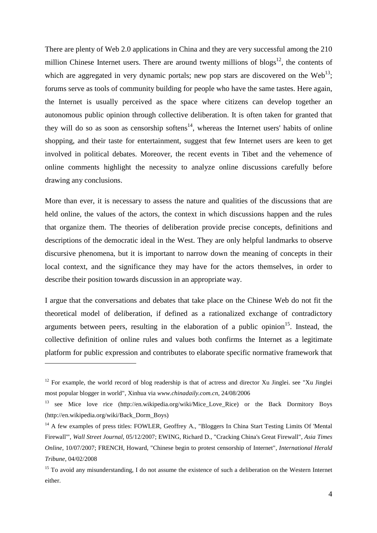There are plenty of Web 2.0 applications in China and they are very successful among the 210 million Chinese Internet users. There are around twenty millions of blogs<sup>12</sup>, the contents of which are aggregated in very dynamic portals; new pop stars are discovered on the Web<sup>13</sup>; forums serve as tools of community building for people who have the same tastes. Here again, the Internet is usually perceived as the space where citizens can develop together an autonomous public opinion through collective deliberation. It is often taken for granted that they will do so as soon as censorship softens $14$ , whereas the Internet users' habits of online shopping, and their taste for entertainment, suggest that few Internet users are keen to get involved in political debates. Moreover, the recent events in Tibet and the vehemence of online comments highlight the necessity to analyze online discussions carefully before drawing any conclusions.

More than ever, it is necessary to assess the nature and qualities of the discussions that are held online, the values of the actors, the context in which discussions happen and the rules that organize them. The theories of deliberation provide precise concepts, definitions and descriptions of the democratic ideal in the West. They are only helpful landmarks to observe discursive phenomena, but it is important to narrow down the meaning of concepts in their local context, and the significance they may have for the actors themselves, in order to describe their position towards discussion in an appropriate way.

I argue that the conversations and debates that take place on the Chinese Web do not fit the theoretical model of deliberation, if defined as a rationalized exchange of contradictory arguments between peers, resulting in the elaboration of a public opinion<sup>15</sup>. Instead, the collective definition of online rules and values both confirms the Internet as a legitimate platform for public expression and contributes to elaborate specific normative framework that

 $12$  For example, the world record of blog readership is that of actress and director Xu Jinglei. see "Xu Jinglei" most popular blogger in world", Xinhua via *www.chinadaily.com.cn*, 24/08/2006

<sup>&</sup>lt;sup>13</sup> see Mice love rice (http://en.wikipedia.org/wiki/Mice Love Rice) or the Back Dormitory Boys (http://en.wikipedia.org/wiki/Back\_Dorm\_Boys)

<sup>&</sup>lt;sup>14</sup> A few examples of press titles: FOWLER, Geoffrey A., "Bloggers In China Start Testing Limits Of 'Mental Firewall'", *Wall Street Journal*, 05/12/2007; EWING, Richard D., "Cracking China's Great Firewall", *Asia Times Online*, 10/07/2007; FRENCH, Howard, "Chinese begin to protest censorship of Internet", *International Herald Tribune*, 04/02/2008

<sup>&</sup>lt;sup>15</sup> To avoid any misunderstanding, I do not assume the existence of such a deliberation on the Western Internet either.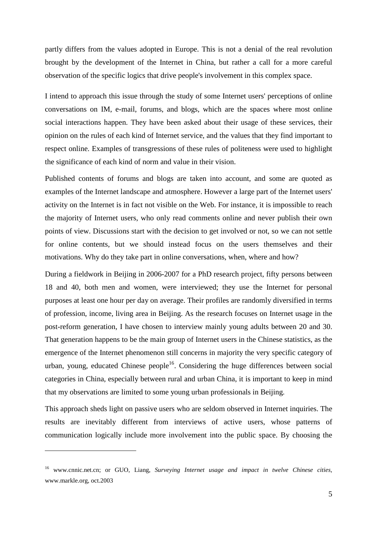partly differs from the values adopted in Europe. This is not a denial of the real revolution brought by the development of the Internet in China, but rather a call for a more careful observation of the specific logics that drive people's involvement in this complex space.

I intend to approach this issue through the study of some Internet users' perceptions of online conversations on IM, e-mail, forums, and blogs, which are the spaces where most online social interactions happen. They have been asked about their usage of these services, their opinion on the rules of each kind of Internet service, and the values that they find important to respect online. Examples of transgressions of these rules of politeness were used to highlight the significance of each kind of norm and value in their vision.

Published contents of forums and blogs are taken into account, and some are quoted as examples of the Internet landscape and atmosphere. However a large part of the Internet users' activity on the Internet is in fact not visible on the Web. For instance, it is impossible to reach the majority of Internet users, who only read comments online and never publish their own points of view. Discussions start with the decision to get involved or not, so we can not settle for online contents, but we should instead focus on the users themselves and their motivations. Why do they take part in online conversations, when, where and how?

During a fieldwork in Beijing in 2006-2007 for a PhD research project, fifty persons between 18 and 40, both men and women, were interviewed; they use the Internet for personal purposes at least one hour per day on average. Their profiles are randomly diversified in terms of profession, income, living area in Beijing. As the research focuses on Internet usage in the post-reform generation, I have chosen to interview mainly young adults between 20 and 30. That generation happens to be the main group of Internet users in the Chinese statistics, as the emergence of the Internet phenomenon still concerns in majority the very specific category of urban, young, educated Chinese people<sup>16</sup>. Considering the huge differences between social categories in China, especially between rural and urban China, it is important to keep in mind that my observations are limited to some young urban professionals in Beijing.

This approach sheds light on passive users who are seldom observed in Internet inquiries. The results are inevitably different from interviews of active users, whose patterns of communication logically include more involvement into the public space. By choosing the

<sup>16</sup> www.cnnic.net.cn; or GUO, Liang, *Surveying Internet usage and impact in twelve Chinese cities,*  www.markle.org, oct.2003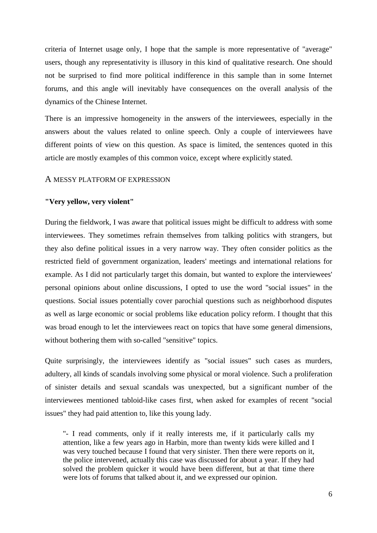criteria of Internet usage only, I hope that the sample is more representative of "average" users, though any representativity is illusory in this kind of qualitative research. One should not be surprised to find more political indifference in this sample than in some Internet forums, and this angle will inevitably have consequences on the overall analysis of the dynamics of the Chinese Internet.

There is an impressive homogeneity in the answers of the interviewees, especially in the answers about the values related to online speech. Only a couple of interviewees have different points of view on this question. As space is limited, the sentences quoted in this article are mostly examples of this common voice, except where explicitly stated.

#### A MESSY PLATFORM OF EXPRESSION

#### **"Very yellow, very violent"**

During the fieldwork, I was aware that political issues might be difficult to address with some interviewees. They sometimes refrain themselves from talking politics with strangers, but they also define political issues in a very narrow way. They often consider politics as the restricted field of government organization, leaders' meetings and international relations for example. As I did not particularly target this domain, but wanted to explore the interviewees' personal opinions about online discussions, I opted to use the word "social issues" in the questions. Social issues potentially cover parochial questions such as neighborhood disputes as well as large economic or social problems like education policy reform. I thought that this was broad enough to let the interviewees react on topics that have some general dimensions, without bothering them with so-called "sensitive" topics.

Quite surprisingly, the interviewees identify as "social issues" such cases as murders, adultery, all kinds of scandals involving some physical or moral violence. Such a proliferation of sinister details and sexual scandals was unexpected, but a significant number of the interviewees mentioned tabloid-like cases first, when asked for examples of recent "social issues" they had paid attention to, like this young lady.

"- I read comments, only if it really interests me, if it particularly calls my attention, like a few years ago in Harbin, more than twenty kids were killed and I was very touched because I found that very sinister. Then there were reports on it, the police intervened, actually this case was discussed for about a year. If they had solved the problem quicker it would have been different, but at that time there were lots of forums that talked about it, and we expressed our opinion.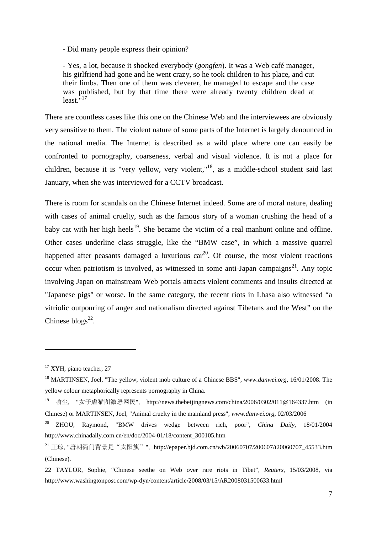- Did many people express their opinion?

- Yes, a lot, because it shocked everybody (*gongfen*). It was a Web café manager, his girlfriend had gone and he went crazy, so he took children to his place, and cut their limbs. Then one of them was cleverer, he managed to escape and the case was published, but by that time there were already twenty children dead at  $least.$ "<sup>17</sup>

There are countless cases like this one on the Chinese Web and the interviewees are obviously very sensitive to them. The violent nature of some parts of the Internet is largely denounced in the national media. The Internet is described as a wild place where one can easily be confronted to pornography, coarseness, verbal and visual violence. It is not a place for children, because it is "very yellow, very violent,"<sup>18</sup>, as a middle-school student said last January, when she was interviewed for a CCTV broadcast.

There is room for scandals on the Chinese Internet indeed. Some are of moral nature, dealing with cases of animal cruelty, such as the famous story of a woman crushing the head of a baby cat with her high heels<sup>19</sup>. She became the victim of a real manhunt online and offline. Other cases underline class struggle, like the "BMW case", in which a massive quarrel happened after peasants damaged a luxurious  $car^{20}$ . Of course, the most violent reactions occur when patriotism is involved, as witnessed in some anti-Japan campaigns<sup>21</sup>. Any topic involving Japan on mainstream Web portals attracts violent comments and insults directed at "Japanese pigs" or worse. In the same category, the recent riots in Lhasa also witnessed "a vitriolic outpouring of anger and nationalism directed against Tibetans and the West" on the Chinese  $blogs^{22}$ .

 $17$  XYH, piano teacher, 27

<sup>18</sup> MARTINSEN, Joel, "The yellow, violent mob culture of a Chinese BBS", *www.danwei.org*, 16/01/2008. The yellow colour metaphorically represents pornography in China.

<sup>19</sup> 喻尘, "女子虐猫图激怒网民", http://news.thebeijingnews.com/china/2006/0302/011@164337.htm (in Chinese) or MARTINSEN, Joel, "Animal cruelty in the mainland press", *www.danwei.org*, 02/03/2006

<sup>&</sup>lt;sup>20</sup> ZHOU, Raymond, "BMW drives wedge between rich, poor", *China Daily*, 18/01/2004 http://www.chinadaily.com.cn/en/doc/2004-01/18/content\_300105.htm

<sup>&</sup>lt;sup>21</sup> 王琼, "唐朝衙门背景是"太阳旗"", http://epaper.bjd.com.cn/wb/20060707/200607/t20060707 45533.htm (Chinese).

<sup>22</sup> TAYLOR, Sophie, "Chinese seethe on Web over rare riots in Tibet", *Reuters*, 15/03/2008, via http://www.washingtonpost.com/wp-dyn/content/article/2008/03/15/AR2008031500633.html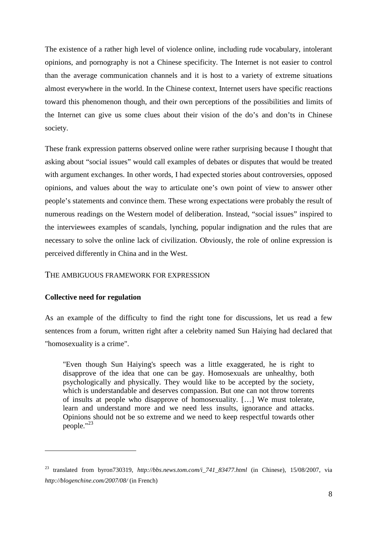The existence of a rather high level of violence online, including rude vocabulary, intolerant opinions, and pornography is not a Chinese specificity. The Internet is not easier to control than the average communication channels and it is host to a variety of extreme situations almost everywhere in the world. In the Chinese context, Internet users have specific reactions toward this phenomenon though, and their own perceptions of the possibilities and limits of the Internet can give us some clues about their vision of the do's and don'ts in Chinese society.

These frank expression patterns observed online were rather surprising because I thought that asking about "social issues" would call examples of debates or disputes that would be treated with argument exchanges. In other words, I had expected stories about controversies, opposed opinions, and values about the way to articulate one's own point of view to answer other people's statements and convince them. These wrong expectations were probably the result of numerous readings on the Western model of deliberation. Instead, "social issues" inspired to the interviewees examples of scandals, lynching, popular indignation and the rules that are necessary to solve the online lack of civilization. Obviously, the role of online expression is perceived differently in China and in the West.

## THE AMBIGUOUS FRAMEWORK FOR EXPRESSION

## **Collective need for regulation**

 $\overline{a}$ 

As an example of the difficulty to find the right tone for discussions, let us read a few sentences from a forum, written right after a celebrity named Sun Haiying had declared that "homosexuality is a crime".

"Even though Sun Haiying's speech was a little exaggerated, he is right to disapprove of the idea that one can be gay. Homosexuals are unhealthy, both psychologically and physically. They would like to be accepted by the society, which is understandable and deserves compassion. But one can not throw torrents of insults at people who disapprove of homosexuality. […] We must tolerate, learn and understand more and we need less insults, ignorance and attacks. Opinions should not be so extreme and we need to keep respectful towards other people."<sup>23</sup>

<sup>23</sup> translated from byron730319, *http://bbs.news.tom.com/i\_741\_83477.html* (in Chinese), 15/08/2007, via *http://blogenchine.com/2007/08/* (in French)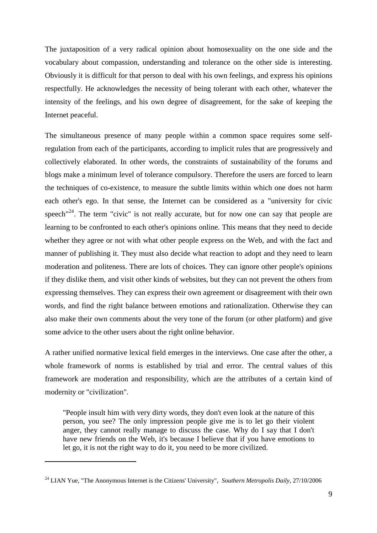The juxtaposition of a very radical opinion about homosexuality on the one side and the vocabulary about compassion, understanding and tolerance on the other side is interesting. Obviously it is difficult for that person to deal with his own feelings, and express his opinions respectfully. He acknowledges the necessity of being tolerant with each other, whatever the intensity of the feelings, and his own degree of disagreement, for the sake of keeping the Internet peaceful.

The simultaneous presence of many people within a common space requires some selfregulation from each of the participants, according to implicit rules that are progressively and collectively elaborated. In other words, the constraints of sustainability of the forums and blogs make a minimum level of tolerance compulsory. Therefore the users are forced to learn the techniques of co-existence, to measure the subtle limits within which one does not harm each other's ego. In that sense, the Internet can be considered as a "university for civic speech<sup> $n^{24}$ </sup>. The term "civic" is not really accurate, but for now one can say that people are learning to be confronted to each other's opinions online. This means that they need to decide whether they agree or not with what other people express on the Web, and with the fact and manner of publishing it. They must also decide what reaction to adopt and they need to learn moderation and politeness. There are lots of choices. They can ignore other people's opinions if they dislike them, and visit other kinds of websites, but they can not prevent the others from expressing themselves. They can express their own agreement or disagreement with their own words, and find the right balance between emotions and rationalization. Otherwise they can also make their own comments about the very tone of the forum (or other platform) and give some advice to the other users about the right online behavior.

A rather unified normative lexical field emerges in the interviews. One case after the other, a whole framework of norms is established by trial and error. The central values of this framework are moderation and responsibility, which are the attributes of a certain kind of modernity or "civilization".

"People insult him with very dirty words, they don't even look at the nature of this person, you see? The only impression people give me is to let go their violent anger, they cannot really manage to discuss the case. Why do I say that I don't have new friends on the Web, it's because I believe that if you have emotions to let go, it is not the right way to do it, you need to be more civilized.

<sup>&</sup>lt;sup>24</sup> LIAN Yue, "The Anonymous Internet is the Citizens' University", *Southern Metropolis Daily*, 27/10/2006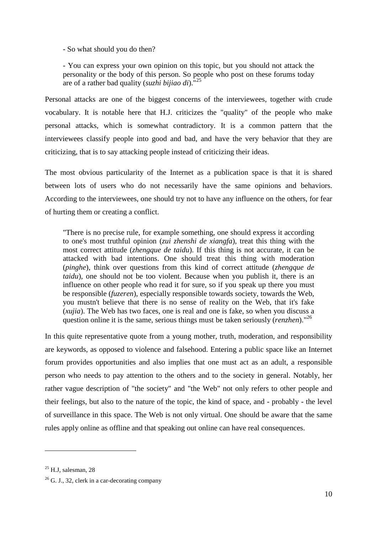- So what should you do then?

- You can express your own opinion on this topic, but you should not attack the personality or the body of this person. So people who post on these forums today are of a rather bad quality (*suzhi bijiao di*)."<sup>25</sup>

Personal attacks are one of the biggest concerns of the interviewees, together with crude vocabulary. It is notable here that H.J. criticizes the "quality" of the people who make personal attacks, which is somewhat contradictory. It is a common pattern that the interviewees classify people into good and bad, and have the very behavior that they are criticizing, that is to say attacking people instead of criticizing their ideas.

The most obvious particularity of the Internet as a publication space is that it is shared between lots of users who do not necessarily have the same opinions and behaviors. According to the interviewees, one should try not to have any influence on the others, for fear of hurting them or creating a conflict.

"There is no precise rule, for example something, one should express it according to one's most truthful opinion (*zui zhenshi de xiangfa*), treat this thing with the most correct attitude (*zhengque de taidu*). If this thing is not accurate, it can be attacked with bad intentions. One should treat this thing with moderation (*pinghe*), think over questions from this kind of correct attitude (*zhengque de taidu*), one should not be too violent. Because when you publish it, there is an influence on other people who read it for sure, so if you speak up there you must be responsible (*fuzeren*), especially responsible towards society, towards the Web, you mustn't believe that there is no sense of reality on the Web, that it's fake (*xujia*). The Web has two faces, one is real and one is fake, so when you discuss a question online it is the same, serious things must be taken seriously (*renzhen*)."<sup>26</sup>

In this quite representative quote from a young mother, truth, moderation, and responsibility are keywords, as opposed to violence and falsehood. Entering a public space like an Internet forum provides opportunities and also implies that one must act as an adult, a responsible person who needs to pay attention to the others and to the society in general. Notably, her rather vague description of "the society" and "the Web" not only refers to other people and their feelings, but also to the nature of the topic, the kind of space, and - probably - the level of surveillance in this space. The Web is not only virtual. One should be aware that the same rules apply online as offline and that speaking out online can have real consequences.

 $25$  H J, salesman, 28

 $26$  G. J., 32, clerk in a car-decorating company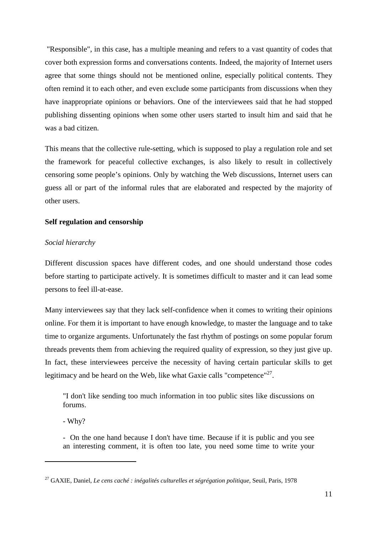"Responsible", in this case, has a multiple meaning and refers to a vast quantity of codes that cover both expression forms and conversations contents. Indeed, the majority of Internet users agree that some things should not be mentioned online, especially political contents. They often remind it to each other, and even exclude some participants from discussions when they have inappropriate opinions or behaviors. One of the interviewees said that he had stopped publishing dissenting opinions when some other users started to insult him and said that he was a bad citizen.

This means that the collective rule-setting, which is supposed to play a regulation role and set the framework for peaceful collective exchanges, is also likely to result in collectively censoring some people's opinions. Only by watching the Web discussions, Internet users can guess all or part of the informal rules that are elaborated and respected by the majority of other users.

## **Self regulation and censorship**

## *Social hierarchy*

Different discussion spaces have different codes, and one should understand those codes before starting to participate actively. It is sometimes difficult to master and it can lead some persons to feel ill-at-ease.

Many interviewees say that they lack self-confidence when it comes to writing their opinions online. For them it is important to have enough knowledge, to master the language and to take time to organize arguments. Unfortunately the fast rhythm of postings on some popular forum threads prevents them from achieving the required quality of expression, so they just give up. In fact, these interviewees perceive the necessity of having certain particular skills to get legitimacy and be heard on the Web, like what Gaxie calls "competence"<sup>27</sup>.

"I don't like sending too much information in too public sites like discussions on forums.

- Why?

 $\overline{a}$ 

- On the one hand because I don't have time. Because if it is public and you see an interesting comment, it is often too late, you need some time to write your

<sup>27</sup> GAXIE, Daniel, *Le cens caché : inégalités culturelles et ségrégation politique,* Seuil, Paris, 1978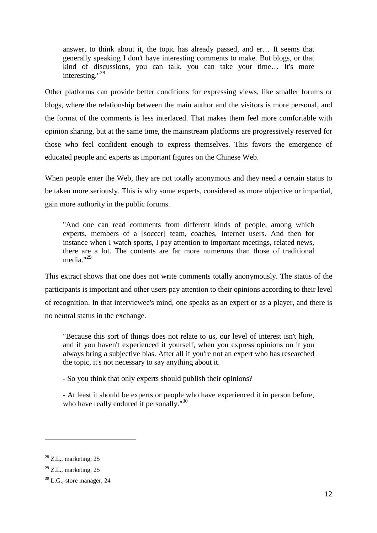answer, to think about it, the topic has already passed, and er… It seems that generally speaking I don't have interesting comments to make. But blogs, or that kind of discussions, you can talk, you can take your time… It's more interesting."<sup>28</sup>

Other platforms can provide better conditions for expressing views, like smaller forums or blogs, where the relationship between the main author and the visitors is more personal, and the format of the comments is less interlaced. That makes them feel more comfortable with opinion sharing, but at the same time, the mainstream platforms are progressively reserved for those who feel confident enough to express themselves. This favors the emergence of educated people and experts as important figures on the Chinese Web.

When people enter the Web, they are not totally anonymous and they need a certain status to be taken more seriously. This is why some experts, considered as more objective or impartial, gain more authority in the public forums.

"And one can read comments from different kinds of people, among which experts, members of a [soccer] team, coaches, Internet users. And then for instance when I watch sports, I pay attention to important meetings, related news, there are a lot. The contents are far more numerous than those of traditional media."<sup>29</sup>

This extract shows that one does not write comments totally anonymously. The status of the participants is important and other users pay attention to their opinions according to their level of recognition. In that interviewee's mind, one speaks as an expert or as a player, and there is no neutral status in the exchange.

"Because this sort of things does not relate to us, our level of interest isn't high, and if you haven't experienced it yourself, when you express opinions on it you always bring a subjective bias. After all if you're not an expert who has researched the topic, it's not necessary to say anything about it.

- So you think that only experts should publish their opinions?

- At least it should be experts or people who have experienced it in person before, who have really endured it personally."<sup>30</sup>

 $28$  Z.L., marketing, 25

 $29$  Z.L., marketing, 25

 $30$  L.G., store manager, 24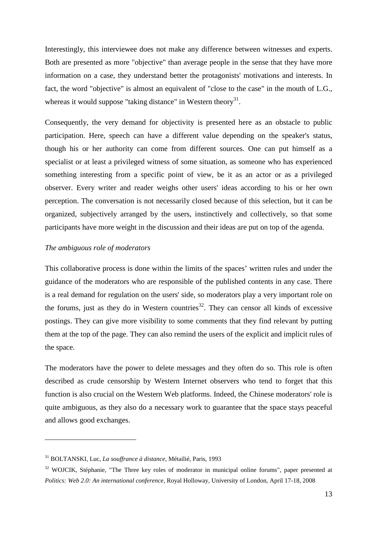Interestingly, this interviewee does not make any difference between witnesses and experts. Both are presented as more "objective" than average people in the sense that they have more information on a case, they understand better the protagonists' motivations and interests. In fact, the word "objective" is almost an equivalent of "close to the case" in the mouth of L.G., whereas it would suppose "taking distance" in Western theory $31$ .

Consequently, the very demand for objectivity is presented here as an obstacle to public participation. Here, speech can have a different value depending on the speaker's status, though his or her authority can come from different sources. One can put himself as a specialist or at least a privileged witness of some situation, as someone who has experienced something interesting from a specific point of view, be it as an actor or as a privileged observer. Every writer and reader weighs other users' ideas according to his or her own perception. The conversation is not necessarily closed because of this selection, but it can be organized, subjectively arranged by the users, instinctively and collectively, so that some participants have more weight in the discussion and their ideas are put on top of the agenda.

#### *The ambiguous role of moderators*

 $\overline{a}$ 

This collaborative process is done within the limits of the spaces' written rules and under the guidance of the moderators who are responsible of the published contents in any case. There is a real demand for regulation on the users' side, so moderators play a very important role on the forums, just as they do in Western countries<sup>32</sup>. They can censor all kinds of excessive postings. They can give more visibility to some comments that they find relevant by putting them at the top of the page. They can also remind the users of the explicit and implicit rules of the space.

The moderators have the power to delete messages and they often do so. This role is often described as crude censorship by Western Internet observers who tend to forget that this function is also crucial on the Western Web platforms. Indeed, the Chinese moderators' role is quite ambiguous, as they also do a necessary work to guarantee that the space stays peaceful and allows good exchanges.

<sup>31</sup> BOLTANSKI, Luc, *La souffrance à distance*, Métailié, Paris, 1993

<sup>&</sup>lt;sup>32</sup> WOJCIK, Stéphanie, "The Three key roles of moderator in municipal online forums", paper presented at *Politics: Web 2.0: An international conference,* Royal Holloway, University of London, April 17-18, 2008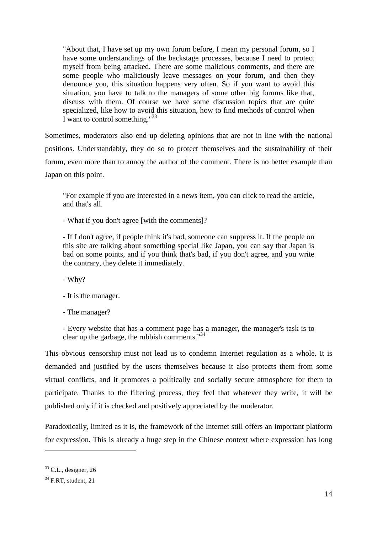"About that, I have set up my own forum before, I mean my personal forum, so I have some understandings of the backstage processes, because I need to protect myself from being attacked. There are some malicious comments, and there are some people who maliciously leave messages on your forum, and then they denounce you, this situation happens very often. So if you want to avoid this situation, you have to talk to the managers of some other big forums like that, discuss with them. Of course we have some discussion topics that are quite specialized, like how to avoid this situation, how to find methods of control when I want to control something." $33$ 

Sometimes, moderators also end up deleting opinions that are not in line with the national positions. Understandably, they do so to protect themselves and the sustainability of their forum, even more than to annoy the author of the comment. There is no better example than Japan on this point.

"For example if you are interested in a news item, you can click to read the article, and that's all.

- What if you don't agree [with the comments]?

- If I don't agree, if people think it's bad, someone can suppress it. If the people on this site are talking about something special like Japan, you can say that Japan is bad on some points, and if you think that's bad, if you don't agree, and you write the contrary, they delete it immediately.

- Why?

- It is the manager.

- The manager?

- Every website that has a comment page has a manager, the manager's task is to clear up the garbage, the rubbish comments." $34$ 

This obvious censorship must not lead us to condemn Internet regulation as a whole. It is demanded and justified by the users themselves because it also protects them from some virtual conflicts, and it promotes a politically and socially secure atmosphere for them to participate. Thanks to the filtering process, they feel that whatever they write, it will be published only if it is checked and positively appreciated by the moderator.

Paradoxically, limited as it is, the framework of the Internet still offers an important platform for expression. This is already a huge step in the Chinese context where expression has long

 $33$  C.L., designer, 26

 $34$  F.RT, student, 21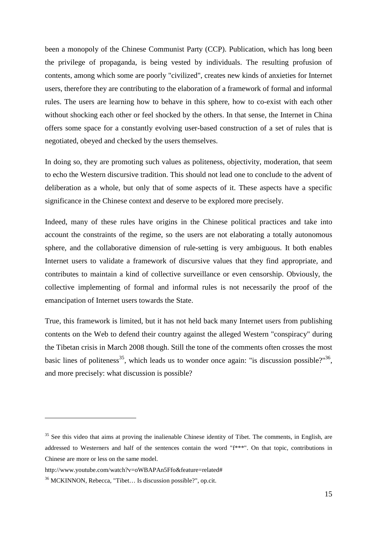been a monopoly of the Chinese Communist Party (CCP). Publication, which has long been the privilege of propaganda, is being vested by individuals. The resulting profusion of contents, among which some are poorly "civilized", creates new kinds of anxieties for Internet users, therefore they are contributing to the elaboration of a framework of formal and informal rules. The users are learning how to behave in this sphere, how to co-exist with each other without shocking each other or feel shocked by the others. In that sense, the Internet in China offers some space for a constantly evolving user-based construction of a set of rules that is negotiated, obeyed and checked by the users themselves.

In doing so, they are promoting such values as politeness, objectivity, moderation, that seem to echo the Western discursive tradition. This should not lead one to conclude to the advent of deliberation as a whole, but only that of some aspects of it. These aspects have a specific significance in the Chinese context and deserve to be explored more precisely.

Indeed, many of these rules have origins in the Chinese political practices and take into account the constraints of the regime, so the users are not elaborating a totally autonomous sphere, and the collaborative dimension of rule-setting is very ambiguous. It both enables Internet users to validate a framework of discursive values that they find appropriate, and contributes to maintain a kind of collective surveillance or even censorship. Obviously, the collective implementing of formal and informal rules is not necessarily the proof of the emancipation of Internet users towards the State.

True, this framework is limited, but it has not held back many Internet users from publishing contents on the Web to defend their country against the alleged Western "conspiracy" during the Tibetan crisis in March 2008 though. Still the tone of the comments often crosses the most basic lines of politeness<sup>35</sup>, which leads us to wonder once again: "is discussion possible?"<sup>36</sup>, and more precisely: what discussion is possible?

<sup>&</sup>lt;sup>35</sup> See this video that aims at proving the inalienable Chinese identity of Tibet. The comments, in English, are addressed to Westerners and half of the sentences contain the word "f\*\*\*". On that topic, contributions in Chinese are more or less on the same model.

http://www.youtube.com/watch?v=oWBAPAn5Ffo&feature=related#

<sup>36</sup> MCKINNON, Rebecca, "Tibet… Is discussion possible?", op.cit.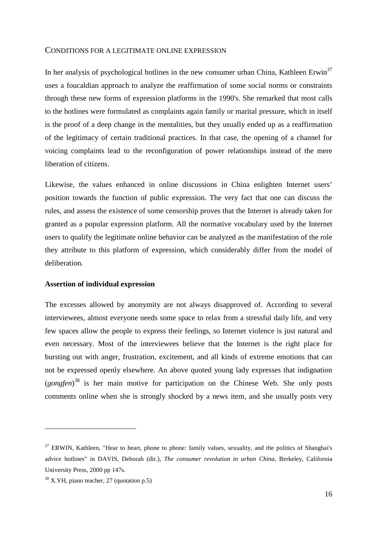#### CONDITIONS FOR A LEGITIMATE ONLINE EXPRESSION

In her analysis of psychological hotlines in the new consumer urban China, Kathleen Erwin<sup>37</sup> uses a foucaldian approach to analyze the reaffirmation of some social norms or constraints through these new forms of expression platforms in the 1990's. She remarked that most calls to the hotlines were formulated as complaints again family or marital pressure, which in itself is the proof of a deep change in the mentalities, but they usually ended up as a reaffirmation of the legitimacy of certain traditional practices. In that case, the opening of a channel for voicing complaints lead to the reconfiguration of power relationships instead of the mere liberation of citizens.

Likewise, the values enhanced in online discussions in China enlighten Internet users' position towards the function of public expression. The very fact that one can discuss the rules, and assess the existence of some censorship proves that the Internet is already taken for granted as a popular expression platform. All the normative vocabulary used by the Internet users to qualify the legitimate online behavior can be analyzed as the manifestation of the role they attribute to this platform of expression, which considerably differ from the model of deliberation.

#### **Assertion of individual expression**

The excesses allowed by anonymity are not always disapproved of. According to several interviewees, almost everyone needs some space to relax from a stressful daily life, and very few spaces allow the people to express their feelings, so Internet violence is just natural and even necessary. Most of the interviewees believe that the Internet is the right place for bursting out with anger, frustration, excitement, and all kinds of extreme emotions that can not be expressed openly elsewhere. An above quoted young lady expresses that indignation (*gongfen*) <sup>38</sup> is her main motive for participation on the Chinese Web. She only posts comments online when she is strongly shocked by a news item, and she usually posts very

 $37$  ERWIN, Kathleen, "Hear to heart, phone to phone: family values, sexuality, and the politics of Shanghai's advice hotlines" in DAVIS, Deborah (dir.), *The consumer revolution in urban China*, Berkeley, California University Press, 2000 pp 147s.

 $38$  X.YH, piano teacher, 27 (quotation p.5)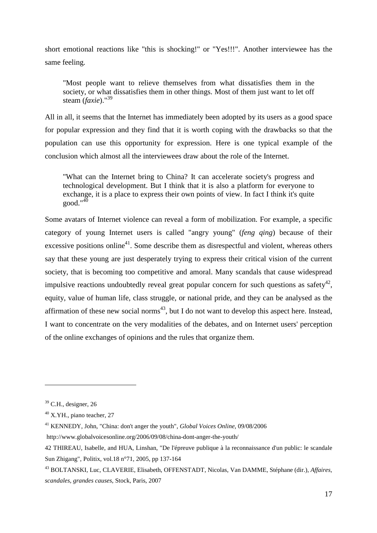short emotional reactions like "this is shocking!" or "Yes!!!". Another interviewee has the same feeling.

"Most people want to relieve themselves from what dissatisfies them in the society, or what dissatisfies them in other things. Most of them just want to let off steam (*faxie*)."<sup>39</sup>

All in all, it seems that the Internet has immediately been adopted by its users as a good space for popular expression and they find that it is worth coping with the drawbacks so that the population can use this opportunity for expression. Here is one typical example of the conclusion which almost all the interviewees draw about the role of the Internet.

"What can the Internet bring to China? It can accelerate society's progress and technological development. But I think that it is also a platform for everyone to exchange, it is a place to express their own points of view. In fact I think it's quite  $\gamma$ good."<sup>40</sup>

Some avatars of Internet violence can reveal a form of mobilization. For example, a specific category of young Internet users is called "angry young" (*feng qing*) because of their excessive positions online<sup>41</sup>. Some describe them as disrespectful and violent, whereas others say that these young are just desperately trying to express their critical vision of the current society, that is becoming too competitive and amoral. Many scandals that cause widespread impulsive reactions undoubtedly reveal great popular concern for such questions as safety $42$ , equity, value of human life, class struggle, or national pride, and they can be analysed as the affirmation of these new social norms<sup>43</sup>, but I do not want to develop this aspect here. Instead, I want to concentrate on the very modalities of the debates, and on Internet users' perception of the online exchanges of opinions and the rules that organize them.

 $\overline{a}$ 

http://www.globalvoicesonline.org/2006/09/08/china-dont-anger-the-youth/

 $39$  C.H., designer, 26

 $40$  X.YH., piano teacher, 27

<sup>41</sup> KENNEDY, John, "China: don't anger the youth", *Global Voices Online*, 09/08/2006

<sup>42</sup> THIREAU, Isabelle, and HUA, Linshan, "De l'épreuve publique à la reconnaissance d'un public: le scandale Sun Zhigang", Politix, vol.18 n°71, 2005, pp 137-164

<sup>43</sup> BOLTANSKI, Luc, CLAVERIE, Elisabeth, OFFENSTADT, Nicolas, Van DAMME, Stéphane (dir.), *Affaires, scandales, grandes causes*, Stock, Paris, 2007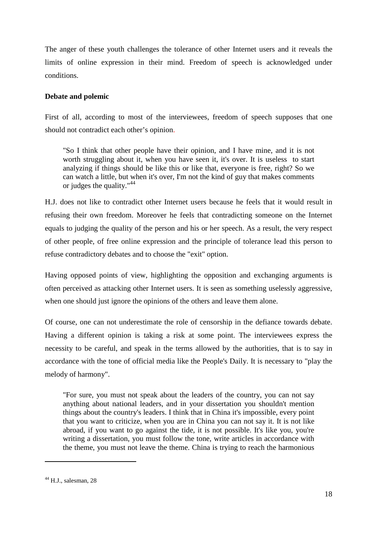The anger of these youth challenges the tolerance of other Internet users and it reveals the limits of online expression in their mind. Freedom of speech is acknowledged under conditions.

## **Debate and polemic**

First of all, according to most of the interviewees, freedom of speech supposes that one should not contradict each other's opinion.

"So I think that other people have their opinion, and I have mine, and it is not worth struggling about it, when you have seen it, it's over. It is useless to start analyzing if things should be like this or like that, everyone is free, right? So we can watch a little, but when it's over, I'm not the kind of guy that makes comments or judges the quality."<sup>44</sup>

H.J. does not like to contradict other Internet users because he feels that it would result in refusing their own freedom. Moreover he feels that contradicting someone on the Internet equals to judging the quality of the person and his or her speech. As a result, the very respect of other people, of free online expression and the principle of tolerance lead this person to refuse contradictory debates and to choose the "exit" option.

Having opposed points of view, highlighting the opposition and exchanging arguments is often perceived as attacking other Internet users. It is seen as something uselessly aggressive, when one should just ignore the opinions of the others and leave them alone.

Of course, one can not underestimate the role of censorship in the defiance towards debate. Having a different opinion is taking a risk at some point. The interviewees express the necessity to be careful, and speak in the terms allowed by the authorities, that is to say in accordance with the tone of official media like the People's Daily. It is necessary to "play the melody of harmony".

"For sure, you must not speak about the leaders of the country, you can not say anything about national leaders, and in your dissertation you shouldn't mention things about the country's leaders. I think that in China it's impossible, every point that you want to criticize, when you are in China you can not say it. It is not like abroad, if you want to go against the tide, it is not possible. It's like you, you're writing a dissertation, you must follow the tone, write articles in accordance with the theme, you must not leave the theme. China is trying to reach the harmonious

 $44$  H.J., salesman, 28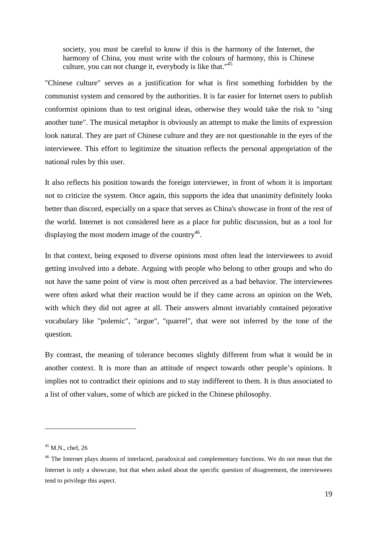society, you must be careful to know if this is the harmony of the Internet, the harmony of China, you must write with the colours of harmony, this is Chinese culture, you can not change it, everybody is like that."<sup>45</sup>

"Chinese culture" serves as a justification for what is first something forbidden by the communist system and censored by the authorities. It is far easier for Internet users to publish conformist opinions than to test original ideas, otherwise they would take the risk to "sing another tune". The musical metaphor is obviously an attempt to make the limits of expression look natural. They are part of Chinese culture and they are not questionable in the eyes of the interviewee. This effort to legitimize the situation reflects the personal appropriation of the national rules by this user.

It also reflects his position towards the foreign interviewer, in front of whom it is important not to criticize the system. Once again, this supports the idea that unanimity definitely looks better than discord, especially on a space that serves as China's showcase in front of the rest of the world. Internet is not considered here as a place for public discussion, but as a tool for displaying the most modern image of the country<sup>46</sup>.

In that context, being exposed to diverse opinions most often lead the interviewees to avoid getting involved into a debate. Arguing with people who belong to other groups and who do not have the same point of view is most often perceived as a bad behavior. The interviewees were often asked what their reaction would be if they came across an opinion on the Web, with which they did not agree at all. Their answers almost invariably contained pejorative vocabulary like "polemic", "argue", "quarrel", that were not inferred by the tone of the question.

By contrast, the meaning of tolerance becomes slightly different from what it would be in another context. It is more than an attitude of respect towards other people's opinions. It implies not to contradict their opinions and to stay indifferent to them. It is thus associated to a list of other values, some of which are picked in the Chinese philosophy.

 $45$  M.N., chef, 26

<sup>&</sup>lt;sup>46</sup> The Internet plays dozens of interlaced, paradoxical and complementary functions. We do not mean that the Internet is only a showcase, but that when asked about the specific question of disagreement, the interviewees tend to privilege this aspect.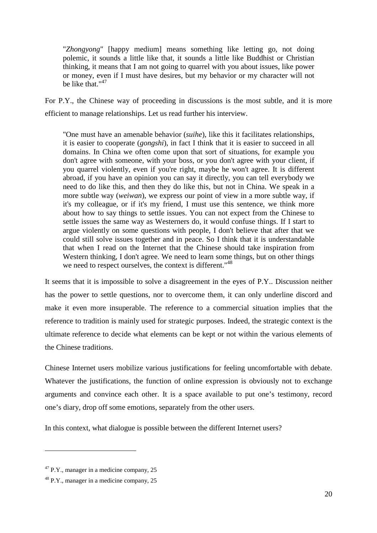"*Zhongyong*" [happy medium] means something like letting go, not doing polemic, it sounds a little like that, it sounds a little like Buddhist or Christian thinking, it means that I am not going to quarrel with you about issues, like power or money, even if I must have desires, but my behavior or my character will not be like that."<sup>47</sup>

For P.Y., the Chinese way of proceeding in discussions is the most subtle, and it is more efficient to manage relationships. Let us read further his interview.

"One must have an amenable behavior (*suihe*), like this it facilitates relationships, it is easier to cooperate (*gongshi*), in fact I think that it is easier to succeed in all domains. In China we often come upon that sort of situations, for example you don't agree with someone, with your boss, or you don't agree with your client, if you quarrel violently, even if you're right, maybe he won't agree. It is different abroad, if you have an opinion you can say it directly, you can tell everybody we need to do like this, and then they do like this, but not in China. We speak in a more subtle way (*weiwan*), we express our point of view in a more subtle way, if it's my colleague, or if it's my friend, I must use this sentence, we think more about how to say things to settle issues. You can not expect from the Chinese to settle issues the same way as Westerners do, it would confuse things. If I start to argue violently on some questions with people, I don't believe that after that we could still solve issues together and in peace. So I think that it is understandable that when I read on the Internet that the Chinese should take inspiration from Western thinking, I don't agree. We need to learn some things, but on other things we need to respect ourselves, the context is different."<sup>48</sup>

It seems that it is impossible to solve a disagreement in the eyes of P.Y.. Discussion neither has the power to settle questions, nor to overcome them, it can only underline discord and make it even more insuperable. The reference to a commercial situation implies that the reference to tradition is mainly used for strategic purposes. Indeed, the strategic context is the ultimate reference to decide what elements can be kept or not within the various elements of the Chinese traditions.

Chinese Internet users mobilize various justifications for feeling uncomfortable with debate. Whatever the justifications, the function of online expression is obviously not to exchange arguments and convince each other. It is a space available to put one's testimony, record one's diary, drop off some emotions, separately from the other users.

In this context, what dialogue is possible between the different Internet users?

 $47$  P.Y., manager in a medicine company, 25

 $48$  P.Y., manager in a medicine company, 25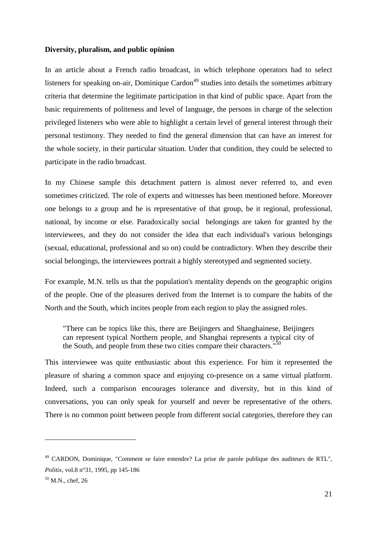#### **Diversity, pluralism, and public opinion**

In an article about a French radio broadcast, in which telephone operators had to select listeners for speaking on-air, Dominique Cardon<sup> $49$ </sup> studies into details the sometimes arbitrary criteria that determine the legitimate participation in that kind of public space. Apart from the basic requirements of politeness and level of language, the persons in charge of the selection privileged listeners who were able to highlight a certain level of general interest through their personal testimony. They needed to find the general dimension that can have an interest for the whole society, in their particular situation. Under that condition, they could be selected to participate in the radio broadcast.

In my Chinese sample this detachment pattern is almost never referred to, and even sometimes criticized. The role of experts and witnesses has been mentioned before. Moreover one belongs to a group and he is representative of that group, be it regional, professional, national, by income or else. Paradoxically social belongings are taken for granted by the interviewees, and they do not consider the idea that each individual's various belongings (sexual, educational, professional and so on) could be contradictory. When they describe their social belongings, the interviewees portrait a highly stereotyped and segmented society.

For example, M.N. tells us that the population's mentality depends on the geographic origins of the people. One of the pleasures derived from the Internet is to compare the habits of the North and the South, which incites people from each region to play the assigned roles.

"There can be topics like this, there are Beijingers and Shanghainese, Beijingers can represent typical Northern people, and Shanghai represents a typical city of the South, and people from these two cities compare their characters."<sup>50</sup>

This interviewee was quite enthusiastic about this experience. For him it represented the pleasure of sharing a common space and enjoying co-presence on a same virtual platform. Indeed, such a comparison encourages tolerance and diversity, but in this kind of conversations, you can only speak for yourself and never be representative of the others. There is no common point between people from different social categories, therefore they can

<sup>49</sup> CARDON, Dominique, "Comment se faire entendre? La prise de parole publique des auditeurs de RTL", *Politix*, vol.8 n°31, 1995, pp 145-186

 $50$  M.N., chef, 26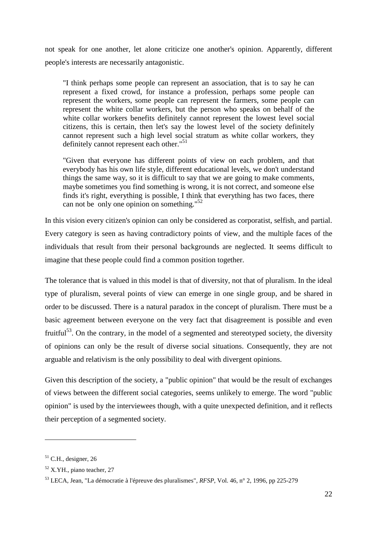not speak for one another, let alone criticize one another's opinion. Apparently, different people's interests are necessarily antagonistic.

"I think perhaps some people can represent an association, that is to say he can represent a fixed crowd, for instance a profession, perhaps some people can represent the workers, some people can represent the farmers, some people can represent the white collar workers, but the person who speaks on behalf of the white collar workers benefits definitely cannot represent the lowest level social citizens, this is certain, then let's say the lowest level of the society definitely cannot represent such a high level social stratum as white collar workers, they definitely cannot represent each other."<sup>51</sup>

"Given that everyone has different points of view on each problem, and that everybody has his own life style, different educational levels, we don't understand things the same way, so it is difficult to say that we are going to make comments, maybe sometimes you find something is wrong, it is not correct, and someone else finds it's right, everything is possible, I think that everything has two faces, there can not be only one opinion on something." $52$ 

In this vision every citizen's opinion can only be considered as corporatist, selfish, and partial. Every category is seen as having contradictory points of view, and the multiple faces of the individuals that result from their personal backgrounds are neglected. It seems difficult to imagine that these people could find a common position together.

The tolerance that is valued in this model is that of diversity, not that of pluralism. In the ideal type of pluralism, several points of view can emerge in one single group, and be shared in order to be discussed. There is a natural paradox in the concept of pluralism. There must be a basic agreement between everyone on the very fact that disagreement is possible and even fruitful<sup>53</sup>. On the contrary, in the model of a segmented and stereotyped society, the diversity of opinions can only be the result of diverse social situations. Consequently, they are not arguable and relativism is the only possibility to deal with divergent opinions.

Given this description of the society, a "public opinion" that would be the result of exchanges of views between the different social categories, seems unlikely to emerge. The word "public opinion" is used by the interviewees though, with a quite unexpected definition, and it reflects their perception of a segmented society.

 $51$  C.H., designer, 26

<sup>52</sup> X.YH., piano teacher, 27

<sup>53</sup> LECA, Jean, "La démocratie à l'épreuve des pluralismes", *RFSP*, Vol. 46, n° 2, 1996, pp 225-279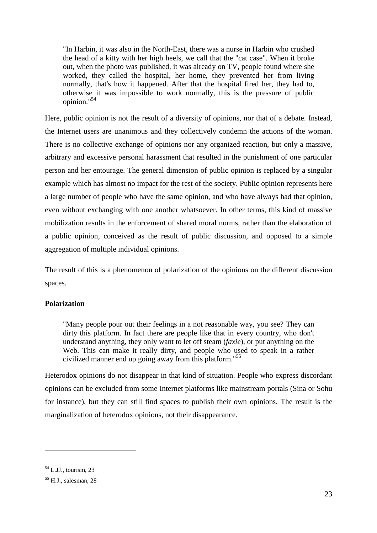"In Harbin, it was also in the North-East, there was a nurse in Harbin who crushed the head of a kitty with her high heels, we call that the "cat case". When it broke out, when the photo was published, it was already on TV, people found where she worked, they called the hospital, her home, they prevented her from living normally, that's how it happened. After that the hospital fired her, they had to, otherwise it was impossible to work normally, this is the pressure of public opinion."<sup>54</sup>

Here, public opinion is not the result of a diversity of opinions, nor that of a debate. Instead, the Internet users are unanimous and they collectively condemn the actions of the woman. There is no collective exchange of opinions nor any organized reaction, but only a massive, arbitrary and excessive personal harassment that resulted in the punishment of one particular person and her entourage. The general dimension of public opinion is replaced by a singular example which has almost no impact for the rest of the society. Public opinion represents here a large number of people who have the same opinion, and who have always had that opinion, even without exchanging with one another whatsoever. In other terms, this kind of massive mobilization results in the enforcement of shared moral norms, rather than the elaboration of a public opinion, conceived as the result of public discussion, and opposed to a simple aggregation of multiple individual opinions.

The result of this is a phenomenon of polarization of the opinions on the different discussion spaces.

## **Polarization**

"Many people pour out their feelings in a not reasonable way, you see? They can dirty this platform. In fact there are people like that in every country, who don't understand anything, they only want to let off steam (*faxie*), or put anything on the Web. This can make it really dirty, and people who used to speak in a rather civilized manner end up going away from this platform."<sup>55</sup>

Heterodox opinions do not disappear in that kind of situation. People who express discordant opinions can be excluded from some Internet platforms like mainstream portals (Sina or Sohu for instance), but they can still find spaces to publish their own opinions. The result is the marginalization of heterodox opinions, not their disappearance.

 $54$  L.J.L., tourism, 23

 $55$  H.J., salesman, 28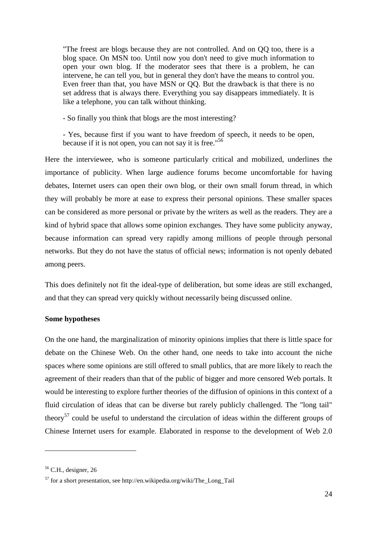"The freest are blogs because they are not controlled. And on QQ too, there is a blog space. On MSN too. Until now you don't need to give much information to open your own blog. If the moderator sees that there is a problem, he can intervene, he can tell you, but in general they don't have the means to control you. Even freer than that, you have MSN or QQ. But the drawback is that there is no set address that is always there. Everything you say disappears immediately. It is like a telephone, you can talk without thinking.

- So finally you think that blogs are the most interesting?

- Yes, because first if you want to have freedom of speech, it needs to be open, because if it is not open, you can not say it is free."<sup>56</sup>

Here the interviewee, who is someone particularly critical and mobilized, underlines the importance of publicity. When large audience forums become uncomfortable for having debates, Internet users can open their own blog, or their own small forum thread, in which they will probably be more at ease to express their personal opinions. These smaller spaces can be considered as more personal or private by the writers as well as the readers. They are a kind of hybrid space that allows some opinion exchanges. They have some publicity anyway, because information can spread very rapidly among millions of people through personal networks. But they do not have the status of official news; information is not openly debated among peers.

This does definitely not fit the ideal-type of deliberation, but some ideas are still exchanged, and that they can spread very quickly without necessarily being discussed online.

#### **Some hypotheses**

On the one hand, the marginalization of minority opinions implies that there is little space for debate on the Chinese Web. On the other hand, one needs to take into account the niche spaces where some opinions are still offered to small publics, that are more likely to reach the agreement of their readers than that of the public of bigger and more censored Web portals. It would be interesting to explore further theories of the diffusion of opinions in this context of a fluid circulation of ideas that can be diverse but rarely publicly challenged. The "long tail" theory<sup>57</sup> could be useful to understand the circulation of ideas within the different groups of Chinese Internet users for example. Elaborated in response to the development of Web 2.0

 $56$  C.H., designer, 26

 $57$  for a short presentation, see http://en.wikipedia.org/wiki/The Long Tail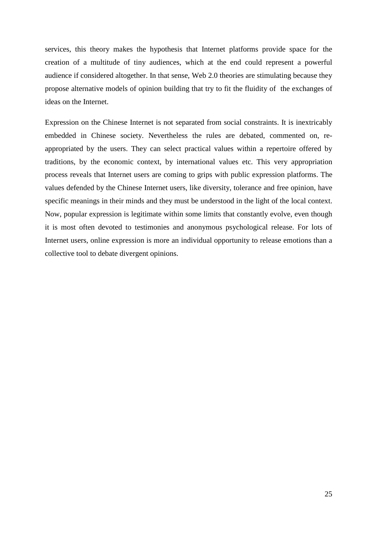services, this theory makes the hypothesis that Internet platforms provide space for the creation of a multitude of tiny audiences, which at the end could represent a powerful audience if considered altogether. In that sense, Web 2.0 theories are stimulating because they propose alternative models of opinion building that try to fit the fluidity of the exchanges of ideas on the Internet.

Expression on the Chinese Internet is not separated from social constraints. It is inextricably embedded in Chinese society. Nevertheless the rules are debated, commented on, reappropriated by the users. They can select practical values within a repertoire offered by traditions, by the economic context, by international values etc. This very appropriation process reveals that Internet users are coming to grips with public expression platforms. The values defended by the Chinese Internet users, like diversity, tolerance and free opinion, have specific meanings in their minds and they must be understood in the light of the local context. Now, popular expression is legitimate within some limits that constantly evolve, even though it is most often devoted to testimonies and anonymous psychological release. For lots of Internet users, online expression is more an individual opportunity to release emotions than a collective tool to debate divergent opinions.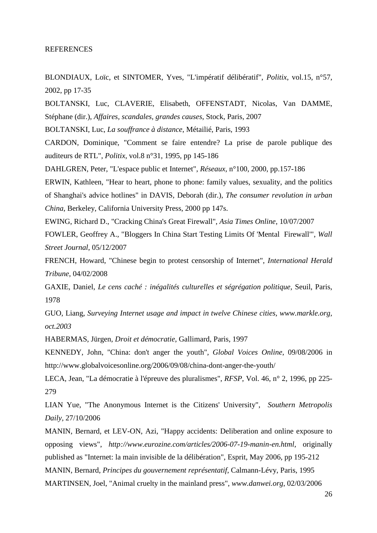#### REFERENCES

BLONDIAUX, Loïc, et SINTOMER, Yves, "L'impératif délibératif", *Politix*, vol.15, n°57, 2002, pp 17-35

BOLTANSKI, Luc, CLAVERIE, Elisabeth, OFFENSTADT, Nicolas, Van DAMME, Stéphane (dir.), *Affaires, scandales, grandes causes*, Stock, Paris, 2007

BOLTANSKI, Luc, *La souffrance à distance*, Métailié, Paris, 1993

CARDON, Dominique, "Comment se faire entendre? La prise de parole publique des auditeurs de RTL", *Politix*, vol.8 n°31, 1995, pp 145-186

DAHLGREN, Peter, "L'espace public et Internet", *Réseaux*, n°100, 2000, pp.157-186

ERWIN, Kathleen, "Hear to heart, phone to phone: family values, sexuality, and the politics of Shanghai's advice hotlines" in DAVIS, Deborah (dir.), *The consumer revolution in urban China*, Berkeley, California University Press, 2000 pp 147s.

EWING, Richard D., "Cracking China's Great Firewall", *Asia Times Online*, 10/07/2007

FOWLER, Geoffrey A., "Bloggers In China Start Testing Limits Of 'Mental Firewall'", *Wall Street Journal*, 05/12/2007

FRENCH, Howard, "Chinese begin to protest censorship of Internet", *International Herald Tribune*, 04/02/2008

GAXIE, Daniel, *Le cens caché : inégalités culturelles et ségrégation politique,* Seuil, Paris, 1978

GUO, Liang, *Surveying Internet usage and impact in twelve Chinese cities, www.markle.org, oct.2003*

HABERMAS, Jürgen, *Droit et démocratie*, Gallimard, Paris, 1997

KENNEDY, John, "China: don't anger the youth", *Global Voices Online*, 09/08/2006 in http://www.globalvoicesonline.org/2006/09/08/china-dont-anger-the-youth/

LECA, Jean, "La démocratie à l'épreuve des pluralismes", *RFSP*, Vol. 46, n° 2, 1996, pp 225- 279

LIAN Yue, "The Anonymous Internet is the Citizens' University", *Southern Metropolis Daily,* 27/10/2006

MANIN, Bernard, et LEV-ON, Azi, "Happy accidents: Deliberation and online exposure to opposing views", *http://www.eurozine.com/articles/2006-07-19-manin-en.html*, originally published as "Internet: la main invisible de la délibération", Esprit, May 2006, pp 195-212 MANIN, Bernard, *Principes du gouvernement représentatif*, Calmann-Lévy, Paris, 1995 MARTINSEN, Joel, "Animal cruelty in the mainland press", *www.danwei.org*, 02/03/2006

26